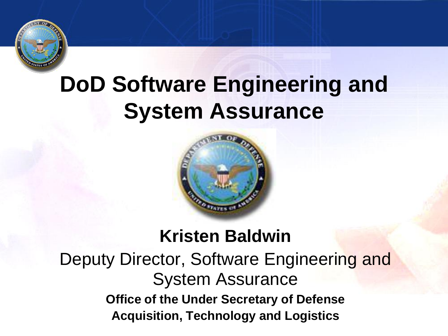

# **DoD Software Engineering and System Assurance**



#### **Kristen Baldwin**

Deputy Director, Software Engineering and System Assurance **Office of the Under Secretary of Defense Acquisition, Technology and Logistics**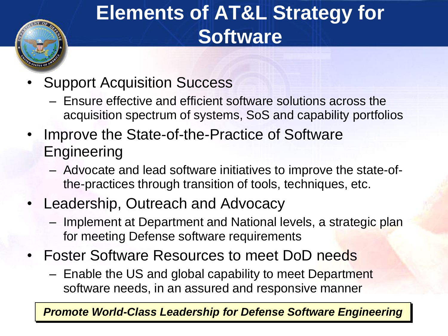## **Elements of AT&L Strategy for Software**

- Support Acquisition Success
	- Ensure effective and efficient software solutions across the acquisition spectrum of systems, SoS and capability portfolios
- Improve the State-of-the-Practice of Software **Engineering** 
	- Advocate and lead software initiatives to improve the state-ofthe-practices through transition of tools, techniques, etc.
- Leadership, Outreach and Advocacy
	- Implement at Department and National levels, a strategic plan for meeting Defense software requirements
- Foster Software Resources to meet DoD needs
	- Enable the US and global capability to meet Department software needs, in an assured and responsive manner

*Promote World-Class Leadership for Defense Software Engineering*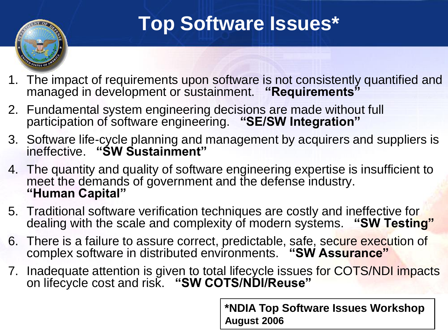### **Top Software Issues\***

- 1. The impact of requirements upon software is not consistently quantified and managed in development or sustainment. **"Requirements"**
- 2. Fundamental system engineering decisions are made without full participation of software engineering. **"SE/SW Integration"**
- 3. Software life-cycle planning and management by acquirers and suppliers is ineffective. **"SW Sustainment"**
- 4. The quantity and quality of software engineering expertise is insufficient to meet the demands of government and the defense industry. **"Human Capital"**
- 5. Traditional software verification techniques are costly and ineffective for dealing with the scale and complexity of modern systems. **"SW Testing"**
- 6. There is a failure to assure correct, predictable, safe, secure execution of complex software in distributed environments. **"SW Assurance"**
- 7. Inadequate attention is given to total lifecycle issues for COTS/NDI impacts on lifecycle cost and risk. **"SW COTS/NDI/Reuse"**

**\*NDIA Top Software Issues Workshop August 2006**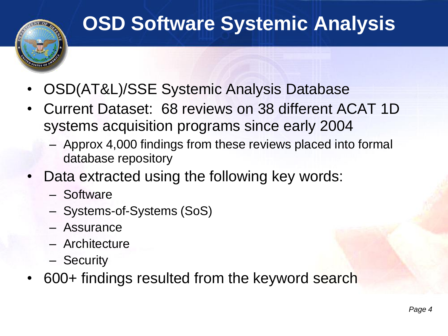### **OSD Software Systemic Analysis**

- OSD(AT&L)/SSE Systemic Analysis Database
- Current Dataset: 68 reviews on 38 different ACAT 1D systems acquisition programs since early 2004
	- Approx 4,000 findings from these reviews placed into formal database repository
- Data extracted using the following key words:
	- Software
	- Systems-of-Systems (SoS)
	- Assurance
	- Architecture
	- Security
- 600+ findings resulted from the keyword search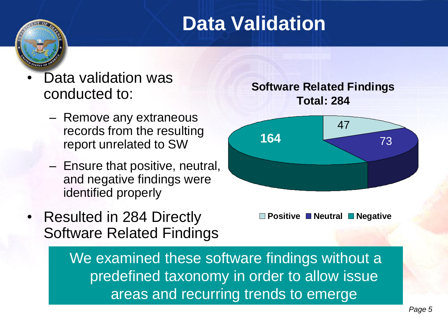### **Data Validation**

- Data validation was conducted to:
	- Remove any extraneous records from the resulting report unrelated to SW
	- Ensure that positive, neutral, and negative findings were identified properly
- Resulted in 284 Directly Software Related Findings

**Software Related Findings Total: 284**



**Positive Neutral Negative**

We examined these software findings without a predefined taxonomy in order to allow issue areas and recurring trends to emerge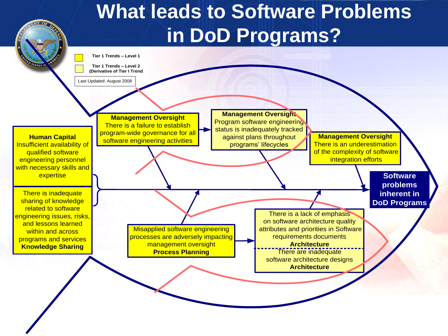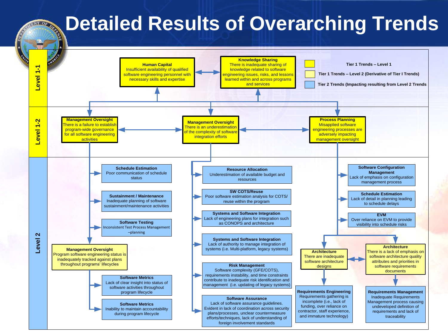#### **Detailed Results of Overarching Trends**

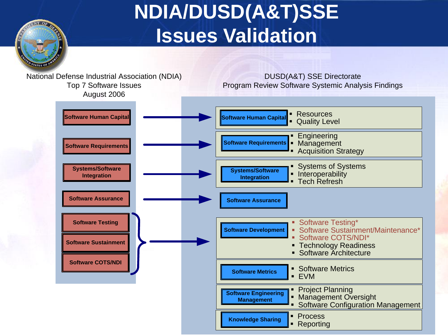## **NDIA/DUSD(A&T)SSE Issues Validation**

**ANDRO** 

**Page 82**<br> **Page 82 Project Planning & Management Software Engineering & Management Oversight \$1.50 Software Configuration Management** National Defense Industrial Association (NDIA) Top 7 Software Issues Augustrial Association (NDIA)<br>
Program Review Software Systemic Analysis Findings<br>
Program Review Software Systemic Analysis Findings<br>
August 2006 **Software Requirements Systems/Software Integration Software Human Capital Software Assurance of Construction Construction and Construction Construction Construction Construction Construction Construction Construction Construction Construction Construction Construction Construction Constructio Software Engineering Knowledge Sharing FINDS** Reporting **Software Requirements Budgets Engineering** § Acquisition Strategy **Software Testing\*** Software Testing\* § Software Testing\* § Software Sustainment/Maintenance\* § Software COTS/NDI\* ■ Technology Readiness<br>■ Software Architecture **Software Sustainment**<br>■ Software Architecture **Sustainment**<br>■ Software Architecture **Software Testing<br>
Software Sustainment<br>
Software COTS/NDI Software Human Capital** | Resources **§ Allen Equality Level Systems/Software INSPERISE EXERCISE Systems/Software**<br> **INTERFERISE EXERCISE EXERCISE EXERCISE EXERCISE FIND TECH Refresh**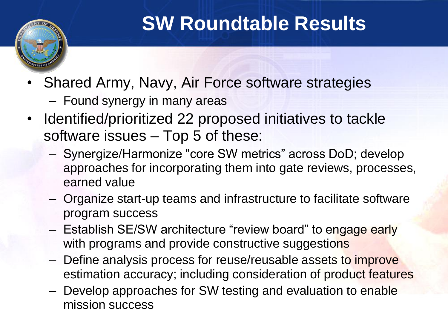

### **SW Roundtable Results**

- Shared Army, Navy, Air Force software strategies
	- Found synergy in many areas
- Identified/prioritized 22 proposed initiatives to tackle software issues – Top 5 of these:
	- Synergize/Harmonize "core SW metrics" across DoD; develop approaches for incorporating them into gate reviews, processes, earned value
	- Organize start-up teams and infrastructure to facilitate software program success
	- Establish SE/SW architecture "review board" to engage early with programs and provide constructive suggestions
	- Define analysis process for reuse/reusable assets to improve estimation accuracy; including consideration of product features
	- Develop approaches for SW testing and evaluation to enable mission success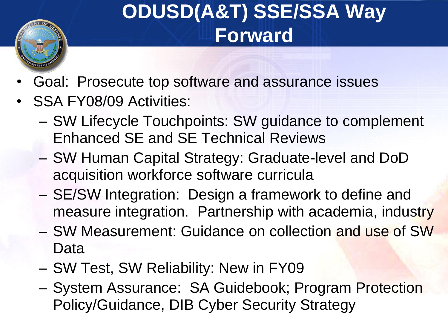## **ODUSD(A&T) SSE/SSA Way Forward**

- Goal: Prosecute top software and assurance issues
- SSA FY08/09 Activities:
	- SW Lifecycle Touchpoints: SW guidance to complement Enhanced SE and SE Technical Reviews
	- SW Human Capital Strategy: Graduate-level and DoD acquisition workforce software curricula
	- SE/SW Integration: Design a framework to define and measure integration. Partnership with academia, industry
	- SW Measurement: Guidance on collection and use of SW Data
	- SW Test, SW Reliability: New in FY09
	- System Assurance: SA Guidebook; Program Protection Policy/Guidance, DIB Cyber Security Strategy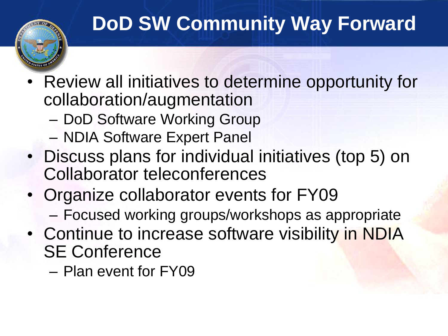## **DoD SW Community Way Forward**

- Review all initiatives to determine opportunity for collaboration/augmentation
	- DoD Software Working Group
	- NDIA Software Expert Panel
- Discuss plans for individual initiatives (top 5) on Collaborator teleconferences
- Organize collaborator events for FY09
	- Focused working groups/workshops as appropriate
- Continue to increase software visibility in NDIA SE Conference
	- Plan event for FY09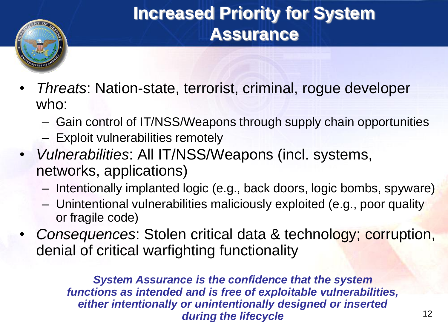

#### **Increased Priority for System Assurance**

- *Threats*: Nation-state, terrorist, criminal, rogue developer who:
	- Gain control of IT/NSS/Weapons through supply chain opportunities
	- Exploit vulnerabilities remotely
- *Vulnerabilities*: All IT/NSS/Weapons (incl. systems, networks, applications)
	- Intentionally implanted logic (e.g., back doors, logic bombs, spyware)
	- Unintentional vulnerabilities maliciously exploited (e.g., poor quality or fragile code)
- *Consequences*: Stolen critical data & technology; corruption, denial of critical warfighting functionality

*System Assurance is the confidence that the system functions as intended and is free of exploitable vulnerabilities, either intentionally or unintentionally designed or inserted during the lifecycle*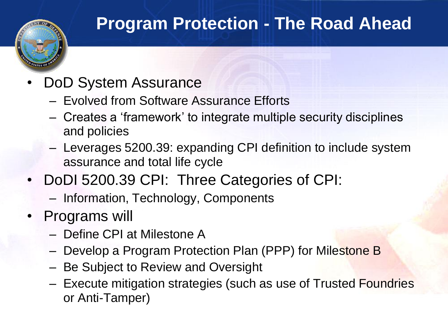#### **Program Protection - The Road Ahead**

- DoD System Assurance
	- Evolved from Software Assurance Efforts
	- Creates a "framework" to integrate multiple security disciplines and policies
	- Leverages 5200.39: expanding CPI definition to include system assurance and total life cycle
- DoDI 5200.39 CPI: Three Categories of CPI:
	- Information, Technology, Components
- Programs will
	- Define CPI at Milestone A
	- Develop a Program Protection Plan (PPP) for Milestone B
	- Be Subject to Review and Oversight
	- Execute mitigation strategies (such as use of Trusted Foundries or Anti-Tamper)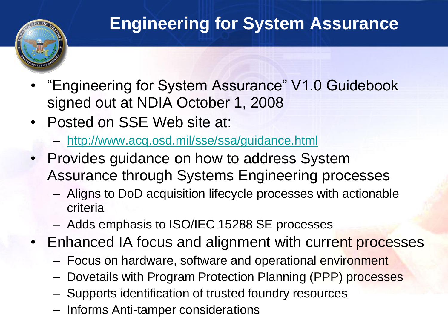#### **Engineering for System Assurance**

- "Engineering for System Assurance" V1.0 Guidebook signed out at NDIA October 1, 2008
- Posted on SSE Web site at:
	- <http://www.acq.osd.mil/sse/ssa/guidance.html>
- Provides guidance on how to address System Assurance through Systems Engineering processes
	- Aligns to DoD acquisition lifecycle processes with actionable criteria
	- Adds emphasis to ISO/IEC 15288 SE processes
- Enhanced IA focus and alignment with current processes
	- Focus on hardware, software and operational environment
	- Dovetails with Program Protection Planning (PPP) processes
	- Supports identification of trusted foundry resources
	- Informs Anti-tamper considerations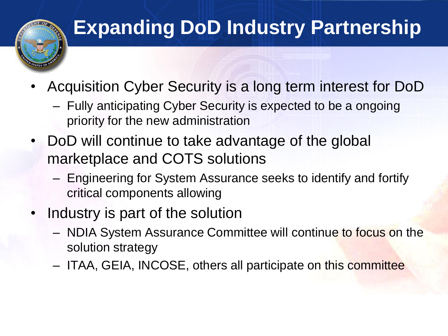

## **Expanding DoD Industry Partnership**

- Acquisition Cyber Security is a long term interest for DoD
	- Fully anticipating Cyber Security is expected to be a ongoing priority for the new administration
- DoD will continue to take advantage of the global marketplace and COTS solutions
	- Engineering for System Assurance seeks to identify and fortify critical components allowing
- Industry is part of the solution
	- NDIA System Assurance Committee will continue to focus on the solution strategy
	- ITAA, GEIA, INCOSE, others all participate on this committee